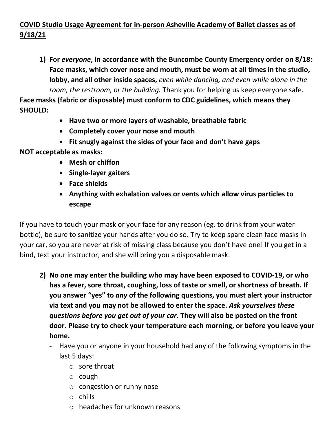## **COVID Studio Usage Agreement for in-person Asheville Academy of Ballet classes as of 9/18/21**

**1) For** *everyone***, in accordance with the Buncombe County Emergency order on 8/18: Face masks, which cover nose and mouth, must be worn at all times in the studio, lobby, and all other inside spaces,** *even while dancing, and even while alone in the room, the restroom, or the building.* Thank you for helping us keep everyone safe.

**Face masks (fabric or disposable) must conform to CDC guidelines, which means they SHOULD:**

- **Have two or more layers of washable, breathable fabric**
- **Completely cover your nose and mouth**
- **Fit snugly against the sides of your face and don't have gaps**

**NOT acceptable as masks:**

- **Mesh or chiffon**
- **Single-layer gaiters**
- **Face shields**
- **Anything with exhalation valves or vents which allow virus particles to escape**

If you have to touch your mask or your face for any reason (eg. to drink from your water bottle), be sure to sanitize your hands after you do so. Try to keep spare clean face masks in your car, so you are never at risk of missing class because you don't have one! If you get in a bind, text your instructor, and she will bring you a disposable mask.

- **2) No one may enter the building who may have been exposed to COVID-19, or who has a fever, sore throat, coughing, loss of taste or smell, or shortness of breath. If you answer "yes" to** *any* **of the following questions, you must alert your instructor via text and you may not be allowed to enter the space.** *Ask yourselves these questions before you get out of your car.* **They will also be posted on the front door. Please try to check your temperature each morning, or before you leave your home.** 
	- Have you or anyone in your household had any of the following symptoms in the last 5 days:
		- o sore throat
		- o cough
		- o congestion or runny nose
		- o chills
		- o headaches for unknown reasons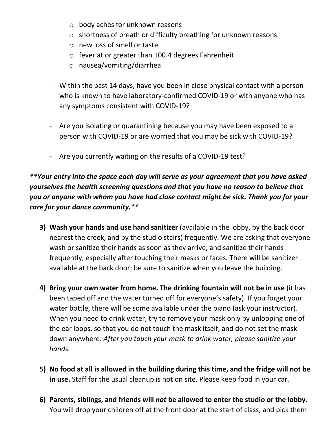- o body aches for unknown reasons
- o shortness of breath or difficulty breathing for unknown reasons
- o new loss of smell or taste
- o fever at or greater than 100.4 degrees Fahrenheit
- o nausea/vomiting/diarrhea
- Within the past 14 days, have you been in close physical contact with a person who is known to have laboratory-confirmed COVID-19 or with anyone who has any symptoms consistent with COVID-19?
- Are you isolating or quarantining because you may have been exposed to a person with COVID-19 or are worried that you may be sick with COVID-19?
- Are you currently waiting on the results of a COVID-19 test?

*\*\*Your entry into the space each day will serve as your agreement that you have asked yourselves the health screening questions and that you have no reason to believe that you or anyone with whom you have had close contact might be sick. Thank you for your care for your dance community.\*\**

- **3) Wash your hands and use hand sanitizer** (available in the lobby, by the back door nearest the creek, and by the studio stairs) frequently. We are asking that everyone wash or sanitize their hands as soon as they arrive, and sanitize their hands frequently, especially after touching their masks or faces. There will be sanitizer available at the back door; be sure to sanitize when you leave the building.
- **4) Bring your own water from home. The drinking fountain will not be in use** (it has been taped off and the water turned off for everyone's safety). If you forget your water bottle, there will be some available under the piano (ask your instructor). When you need to drink water, try to remove your mask only by unlooping one of the ear loops, so that you do not touch the mask itself, and do not set the mask down anywhere. *After you touch your mask to drink water, please sanitize your hands.*
- **5) No food at all is allowed in the building during this time, and the fridge will not be in use.** Staff for the usual cleanup is not on site. Please keep food in your car.
- **6) Parents, siblings, and friends will** *not* **be allowed to enter the studio or the lobby.** You will drop your children off at the front door at the start of class, and pick them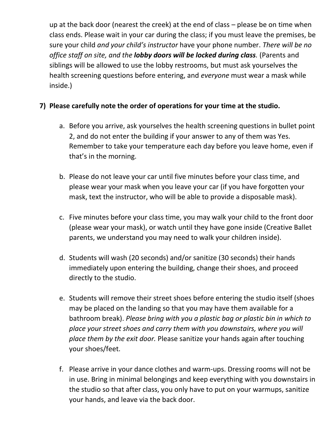up at the back door (nearest the creek) at the end of class – please be on time when class ends. Please wait in your car during the class; if you must leave the premises, be sure your child *and your child's instructor* have your phone number. *There will be no office staff on site, and the lobby doors will be locked during class.* (Parents and siblings will be allowed to use the lobby restrooms, but must ask yourselves the health screening questions before entering, and *everyone* must wear a mask while inside.)

## **7) Please carefully note the order of operations for your time at the studio.**

- a. Before you arrive, ask yourselves the health screening questions in bullet point 2, and do not enter the building if your answer to any of them was Yes. Remember to take your temperature each day before you leave home, even if that's in the morning.
- b. Please do not leave your car until five minutes before your class time, and please wear your mask when you leave your car (if you have forgotten your mask, text the instructor, who will be able to provide a disposable mask).
- c. Five minutes before your class time, you may walk your child to the front door (please wear your mask), or watch until they have gone inside (Creative Ballet parents, we understand you may need to walk your children inside).
- d. Students will wash (20 seconds) and/or sanitize (30 seconds) their hands immediately upon entering the building, change their shoes, and proceed directly to the studio.
- e. Students will remove their street shoes before entering the studio itself (shoes may be placed on the landing so that you may have them available for a bathroom break). *Please bring with you a plastic bag or plastic bin in which to place your street shoes and carry them with you downstairs, where you will place them by the exit door.* Please sanitize your hands again after touching your shoes/feet.
- f. Please arrive in your dance clothes and warm-ups. Dressing rooms will not be in use. Bring in minimal belongings and keep everything with you downstairs in the studio so that after class, you only have to put on your warmups, sanitize your hands, and leave via the back door.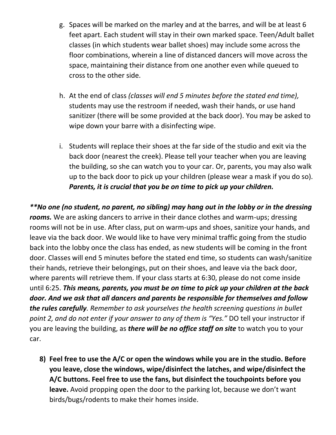- g. Spaces will be marked on the marley and at the barres, and will be at least 6 feet apart. Each student will stay in their own marked space. Teen/Adult ballet classes (in which students wear ballet shoes) may include some across the floor combinations, wherein a line of distanced dancers will move across the space, maintaining their distance from one another even while queued to cross to the other side.
- h. At the end of class *(classes will end 5 minutes before the stated end time),*  students may use the restroom if needed, wash their hands, or use hand sanitizer (there will be some provided at the back door). You may be asked to wipe down your barre with a disinfecting wipe.
- i. Students will replace their shoes at the far side of the studio and exit via the back door (nearest the creek). Please tell your teacher when you are leaving the building, so she can watch you to your car. Or, parents, you may also walk up to the back door to pick up your children (please wear a mask if you do so). *Parents, it is crucial that you be on time to pick up your children.*

*\*\*No one (no student, no parent, no sibling) may hang out in the lobby or in the dressing rooms.* We are asking dancers to arrive in their dance clothes and warm-ups; dressing rooms will not be in use. After class, put on warm-ups and shoes, sanitize your hands, and leave via the back door. We would like to have very minimal traffic going from the studio back into the lobby once the class has ended, as new students will be coming in the front door. Classes will end 5 minutes before the stated end time, so students can wash/sanitize their hands, retrieve their belongings, put on their shoes, and leave via the back door, where parents will retrieve them. If your class starts at 6:30, please do not come inside until 6:25. *This means, parents, you must be on time to pick up your children at the back door. And we ask that all dancers and parents be responsible for themselves and follow the rules carefully. Remember to ask yourselves the health screening questions in bullet point 2, and do not enter if your answer to any of them is "Yes."* DO tell your instructor if you are leaving the building, as *there will be no office staff on site* to watch you to your car.

**8) Feel free to use the A/C or open the windows while you are in the studio. Before you leave, close the windows, wipe/disinfect the latches, and wipe/disinfect the A/C buttons. Feel free to use the fans, but disinfect the touchpoints before you leave.** Avoid propping open the door to the parking lot, because we don't want birds/bugs/rodents to make their homes inside.